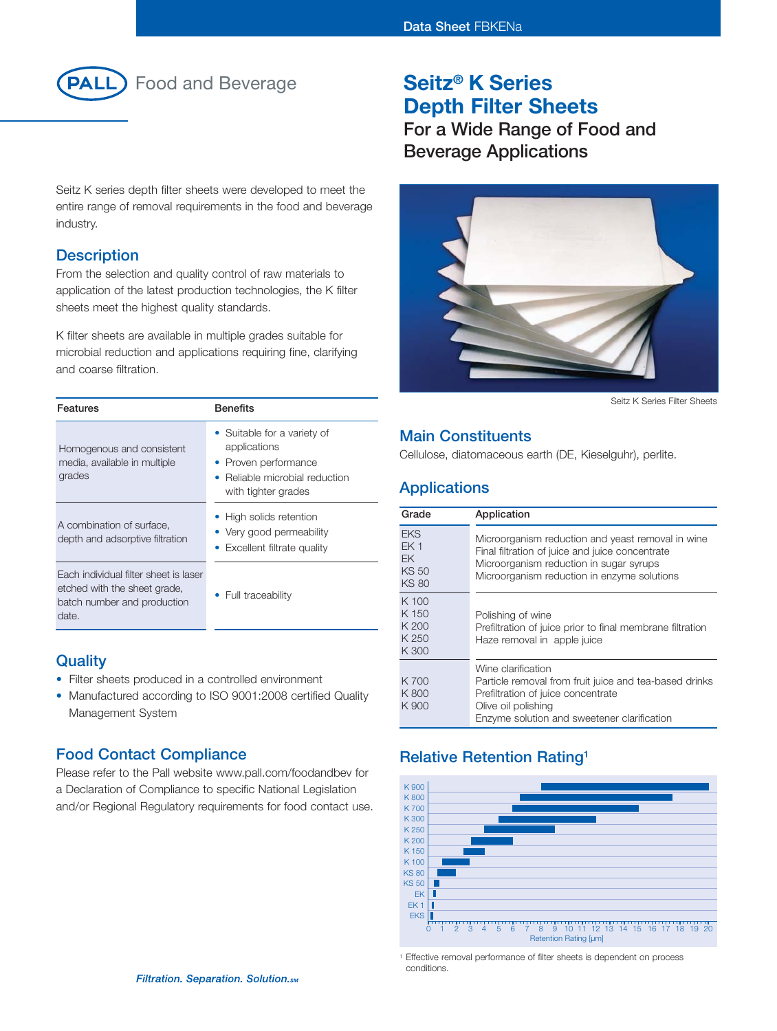

Seitz K series depth filter sheets were developed to meet the entire range of removal requirements in the food and beverage industry.

#### **Description**

From the selection and quality control of raw materials to application of the latest production technologies, the K filter sheets meet the highest quality standards.

K filter sheets are available in multiple grades suitable for microbial reduction and applications requiring fine, clarifying and coarse filtration.

| <b>Features</b>                                                                                               | <b>Benefits</b>                                                                                                            |
|---------------------------------------------------------------------------------------------------------------|----------------------------------------------------------------------------------------------------------------------------|
| Homogenous and consistent<br>media, available in multiple<br>grades                                           | • Suitable for a variety of<br>applications<br>• Proven performance<br>Reliable microbial reduction<br>with tighter grades |
| A combination of surface.<br>depth and adsorptive filtration                                                  | • High solids retention<br>• Very good permeability<br>• Excellent filtrate quality                                        |
| Each individual filter sheet is laser<br>etched with the sheet grade,<br>batch number and production<br>date. | Full traceability                                                                                                          |

#### **Quality**

- Filter sheets produced in a controlled environment
- Manufactured according to ISO 9001:2008 certified Quality Management System

#### **Food Contact Compliance**

Please refer to the Pall website www.pall.com/foodandbev for a Declaration of Compliance to specific National Legislation and/or Regional Regulatory requirements for food contact use.

## **Seitz® K Series Depth Filter Sheets**

**For a Wide Range of Food and Beverage Applications**



Seitz K Series Filter Sheets

#### **Main Constituents**

Cellulose, diatomaceous earth (DE, Kieselguhr), perlite.

## **Applications**

| Grade                                                                      | Application                                                                                                                                                                                    |
|----------------------------------------------------------------------------|------------------------------------------------------------------------------------------------------------------------------------------------------------------------------------------------|
| <b>EKS</b><br>EK <sub>1</sub><br><b>EK</b><br><b>KS 50</b><br><b>KS 80</b> | Microorganism reduction and yeast removal in wine<br>Final filtration of juice and juice concentrate<br>Microorganism reduction in sugar syrups<br>Microorganism reduction in enzyme solutions |
| K 100<br>K 150<br>K 200<br>K 250<br>K 300                                  | Polishing of wine<br>Prefiltration of juice prior to final membrane filtration<br>Haze removal in apple juice                                                                                  |
| K 700<br>K800<br>K 900                                                     | Wine clarification<br>Particle removal from fruit juice and tea-based drinks<br>Prefiltration of juice concentrate<br>Olive oil polishing<br>Enzyme solution and sweetener clarification       |

## **Relative Retention Rating1**



<sup>1</sup> Effective removal performance of filter sheets is dependent on process conditions.